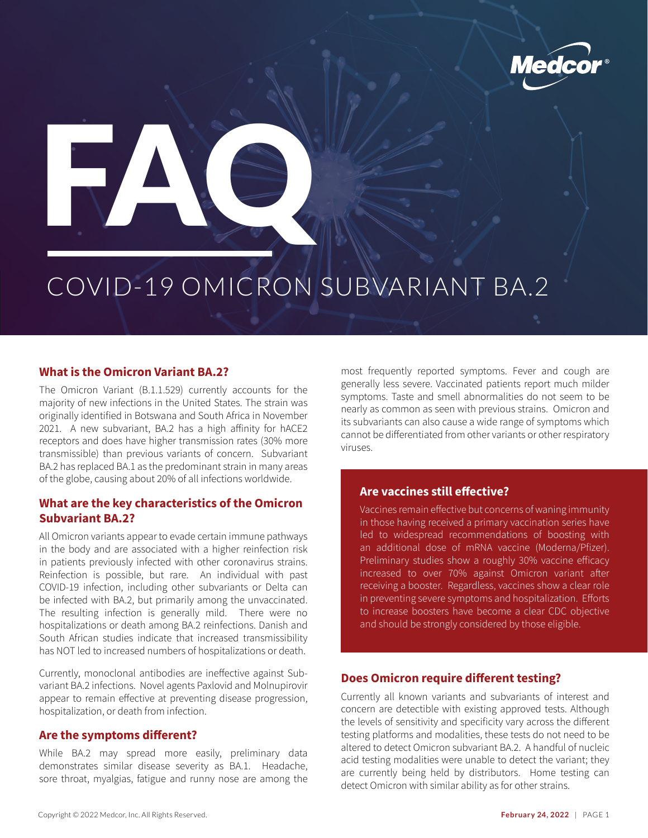



# COVID-19 OMICRON SUBVARIANT BA.2

### **What is the Omicron Variant BA.2?**

The Omicron Variant (B.1.1.529) currently accounts for the majority of new infections in the United States. The strain was originally identified in Botswana and South Africa in November 2021. A new subvariant, BA.2 has a high affinity for hACE2 receptors and does have higher transmission rates (30% more transmissible) than previous variants of concern. Subvariant BA.2 has replaced BA.1 as the predominant strain in many areas of the globe, causing about 20% of all infections worldwide.

## **What are the key characteristics of the Omicron Subvariant BA.2?**

All Omicron variants appear to evade certain immune pathways in the body and are associated with a higher reinfection risk in patients previously infected with other coronavirus strains. Reinfection is possible, but rare. An individual with past COVID-19 infection, including other subvariants or Delta can be infected with BA.2, but primarily among the unvaccinated. The resulting infection is generally mild. There were no hospitalizations or death among BA.2 reinfections. Danish and South African studies indicate that increased transmissibility has NOT led to increased numbers of hospitalizations or death.

Currently, monoclonal antibodies are ineffective against Subvariant BA.2 infections. Novel agents Paxlovid and Molnupirovir appear to remain effective at preventing disease progression, hospitalization, or death from infection.

### **Are the symptoms different?**

While BA.2 may spread more easily, preliminary data demonstrates similar disease severity as BA.1. Headache, sore throat, myalgias, fatigue and runny nose are among the most frequently reported symptoms. Fever and cough are generally less severe. Vaccinated patients report much milder symptoms. Taste and smell abnormalities do not seem to be nearly as common as seen with previous strains. Omicron and its subvariants can also cause a wide range of symptoms which cannot be differentiated from other variants or other respiratory viruses.

## **Are vaccines still effective?**

Vaccines remain effective but concerns of waning immunity in those having received a primary vaccination series have led to widespread recommendations of boosting with an additional dose of mRNA vaccine (Moderna/Pfizer). Preliminary studies show a roughly 30% vaccine efficacy increased to over 70% against Omicron variant after receiving a booster. Regardless, vaccines show a clear role in preventing severe symptoms and hospitalization. Efforts to increase boosters have become a clear CDC objective and should be strongly considered by those eligible.

#### **Does Omicron require different testing?**

Currently all known variants and subvariants of interest and concern are detectible with existing approved tests. Although the levels of sensitivity and specificity vary across the different testing platforms and modalities, these tests do not need to be altered to detect Omicron subvariant BA.2. A handful of nucleic acid testing modalities were unable to detect the variant; they are currently being held by distributors. Home testing can detect Omicron with similar ability as for other strains.